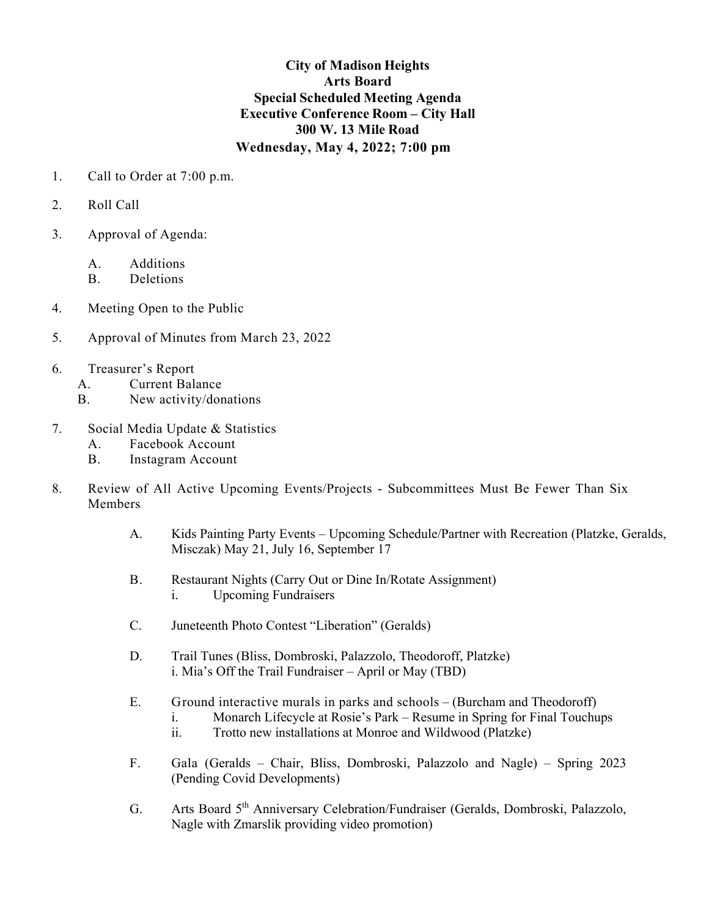## **City of Madison Heights Arts Board Special Scheduled Meeting Agenda Executive Conference Room – City Hall 300 W. 13 Mile Road Wednesday, May 4, 2022; 7:00 pm**

- 1. Call to Order at 7:00 p.m.
- 2. Roll Call
- 3. Approval of Agenda:
	- A. Additions
	- B. Deletions
- 4. Meeting Open to the Public
- 5. Approval of Minutes from March 23, 2022
- 6. Treasurer's Report
	- A. Current Balance
	- B. New activity/donations
- 7. Social Media Update & Statistics
	- A. Facebook Account
	- B. Instagram Account
- 8. Review of All Active Upcoming Events/Projects Subcommittees Must Be Fewer Than Six Members
	- A. Kids Painting Party Events Upcoming Schedule/Partner with Recreation (Platzke, Geralds, Misczak) May 21, July 16, September 17
	- B. Restaurant Nights (Carry Out or Dine In/Rotate Assignment) i. Upcoming Fundraisers
	- C. Juneteenth Photo Contest "Liberation" (Geralds)
	- D. Trail Tunes (Bliss, Dombroski, Palazzolo, Theodoroff, Platzke) i. Mia's Off the Trail Fundraiser – April or May (TBD)
	- E. Ground interactive murals in parks and schools (Burcham and Theodoroff)
		- i. Monarch Lifecycle at Rosie's Park Resume in Spring for Final Touchups
			- ii. Trotto new installations at Monroe and Wildwood (Platzke)
	- F. Gala (Geralds Chair, Bliss, Dombroski, Palazzolo and Nagle) Spring 2023 (Pending Covid Developments)
	- G. Arts Board 5<sup>th</sup> Anniversary Celebration/Fundraiser (Geralds, Dombroski, Palazzolo, Nagle with Zmarslik providing video promotion)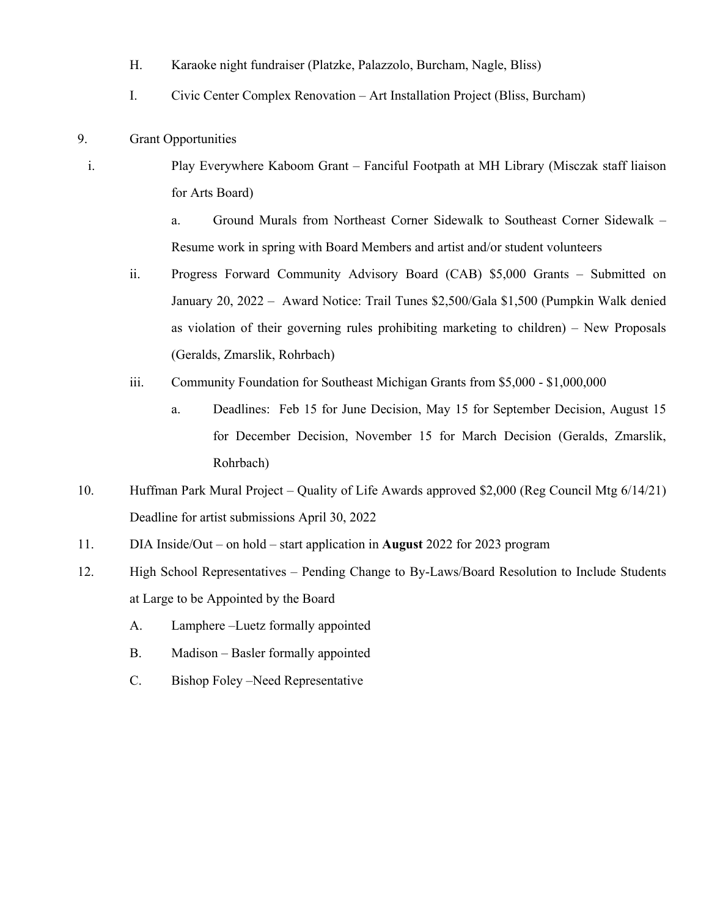- H. Karaoke night fundraiser (Platzke, Palazzolo, Burcham, Nagle, Bliss)
- I. Civic Center Complex Renovation Art Installation Project (Bliss, Burcham)
- 9. Grant Opportunities
	- i. Play Everywhere Kaboom Grant Fanciful Footpath at MH Library (Misczak staff liaison for Arts Board)

a. Ground Murals from Northeast Corner Sidewalk to Southeast Corner Sidewalk – Resume work in spring with Board Members and artist and/or student volunteers

- ii. Progress Forward Community Advisory Board (CAB) \$5,000 Grants Submitted on January 20, 2022 – Award Notice: Trail Tunes \$2,500/Gala \$1,500 (Pumpkin Walk denied as violation of their governing rules prohibiting marketing to children) – New Proposals (Geralds, Zmarslik, Rohrbach)
- iii. Community Foundation for Southeast Michigan Grants from \$5,000 \$1,000,000
	- a. Deadlines: Feb 15 for June Decision, May 15 for September Decision, August 15 for December Decision, November 15 for March Decision (Geralds, Zmarslik, Rohrbach)
- 10. Huffman Park Mural Project Quality of Life Awards approved \$2,000 (Reg Council Mtg 6/14/21) Deadline for artist submissions April 30, 2022
- 11. DIA Inside/Out on hold start application in **August** 2022 for 2023 program
- 12. High School Representatives Pending Change to By-Laws/Board Resolution to Include Students at Large to be Appointed by the Board
	- A. Lamphere –Luetz formally appointed
	- B. Madison Basler formally appointed
	- C. Bishop Foley –Need Representative